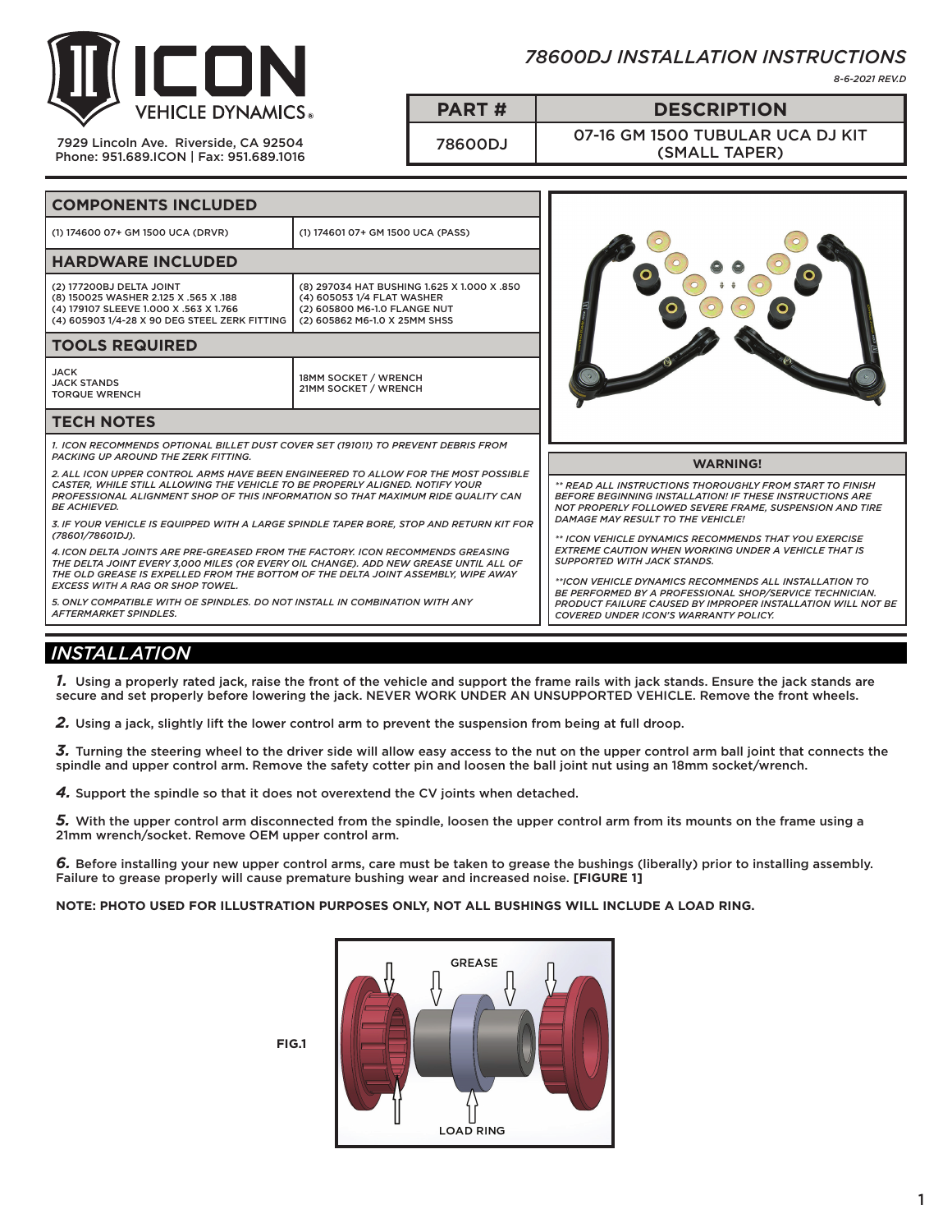

7929 Lincoln Ave. Riverside, CA 92504 Phone: 951.689.ICON | Fax: 951.689.1016

## *78600DJ INSTALLATION INSTRUCTIONS*

*8-6-2021 REV.D*

**PART # DESCRIPTION**

78600DJ 07-16 GM 1500 TUBULAR UCA DJ KIT (SMALL TAPER)

| <b>COMPONENTS INCLUDED</b>                                                                                                                                                                                                                                                                              |                                                                                                                                            |                                                                                                                                                                                                                                                                                 |
|---------------------------------------------------------------------------------------------------------------------------------------------------------------------------------------------------------------------------------------------------------------------------------------------------------|--------------------------------------------------------------------------------------------------------------------------------------------|---------------------------------------------------------------------------------------------------------------------------------------------------------------------------------------------------------------------------------------------------------------------------------|
| (1) 174600 07+ GM 1500 UCA (DRVR)                                                                                                                                                                                                                                                                       | (1) 174601 07+ GM 1500 UCA (PASS)                                                                                                          |                                                                                                                                                                                                                                                                                 |
| <b>HARDWARE INCLUDED</b>                                                                                                                                                                                                                                                                                |                                                                                                                                            |                                                                                                                                                                                                                                                                                 |
| (2) 177200BJ DELTA JOINT<br>(8) 150025 WASHER 2.125 X .565 X .188<br>(4) 179107 SLEEVE 1.000 X .563 X 1.766<br>(4) 605903 1/4-28 X 90 DEG STEEL ZERK FITTING                                                                                                                                            | (8) 297034 HAT BUSHING 1.625 X 1.000 X .850<br>(4) 605053 1/4 FLAT WASHER<br>(2) 605800 M6-1.0 FLANGE NUT<br>(2) 605862 M6-1.0 X 25MM SHSS |                                                                                                                                                                                                                                                                                 |
| <b>TOOLS REQUIRED</b>                                                                                                                                                                                                                                                                                   |                                                                                                                                            |                                                                                                                                                                                                                                                                                 |
| <b>JACK</b><br><b>JACK STANDS</b><br><b>TORQUE WRENCH</b>                                                                                                                                                                                                                                               | 18MM SOCKET / WRENCH<br>21MM SOCKET / WRENCH                                                                                               |                                                                                                                                                                                                                                                                                 |
| <b>TECH NOTES</b>                                                                                                                                                                                                                                                                                       |                                                                                                                                            |                                                                                                                                                                                                                                                                                 |
| 1. ICON RECOMMENDS OPTIONAL BILLET DUST COVER SET (191011) TO PREVENT DEBRIS FROM<br><b>PACKING UP AROUND THE ZERK FITTING.</b>                                                                                                                                                                         |                                                                                                                                            |                                                                                                                                                                                                                                                                                 |
| 2. ALL ICON UPPER CONTROL ARMS HAVE BEEN ENGINEERED TO ALLOW FOR THE MOST POSSIBLE                                                                                                                                                                                                                      |                                                                                                                                            | <b>WARNING!</b>                                                                                                                                                                                                                                                                 |
| CASTER. WHILE STILL ALLOWING THE VEHICLE TO BE PROPERLY ALIGNED. NOTIFY YOUR<br>PROFESSIONAL ALIGNMENT SHOP OF THIS INFORMATION SO THAT MAXIMUM RIDE QUALITY CAN<br><b>BE ACHIEVED.</b><br>3. IF YOUR VEHICLE IS EQUIPPED WITH A LARGE SPINDLE TAPER BORE, STOP AND RETURN KIT FOR<br>(78601/78601DJ).  |                                                                                                                                            | ** READ ALL INSTRUCTIONS THOROUGHLY FROM START TO FINISH<br><b>BEFORE BEGINNING INSTALLATION! IF THESE INSTRUCTIONS ARE</b><br>NOT PROPERLY FOLLOWED SEVERE FRAME. SUSPENSION AND TIRE                                                                                          |
|                                                                                                                                                                                                                                                                                                         |                                                                                                                                            | DAMAGE MAY RESULT TO THE VEHICLE!                                                                                                                                                                                                                                               |
| 4. ICON DELTA JOINTS ARE PRE-GREASED FROM THE FACTORY. ICON RECOMMENDS GREASING<br>THE DELTA JOINT EVERY 3,000 MILES (OR EVERY OIL CHANGE). ADD NEW GREASE UNTIL ALL OF<br>THE OLD GREASE IS EXPELLED FROM THE BOTTOM OF THE DELTA JOINT ASSEMBLY, WIPE AWAY<br><b>EXCESS WITH A RAG OR SHOP TOWEL.</b> |                                                                                                                                            | ** ICON VEHICLE DYNAMICS RECOMMENDS THAT YOU EXERCISE<br><b>EXTREME CAUTION WHEN WORKING UNDER A VEHICLE THAT IS</b><br><b>SUPPORTED WITH JACK STANDS.</b><br>**ICON VEHICLE DYNAMICS RECOMMENDS ALL INSTALLATION TO<br>BE PERFORMED BY A PROFESSIONAL SHOP/SERVICE TECHNICIAN. |
| 5. ONLY COMPATIBLE WITH OE SPINDLES. DO NOT INSTALL IN COMBINATION WITH ANY<br><b>AFTERMARKET SPINDLES.</b>                                                                                                                                                                                             |                                                                                                                                            | <b>PRODUCT FAILURE CAUSED BY IMPROPER INSTALLATION WILL NOT BE</b><br>COVERED UNDER ICON'S WARRANTY POLICY.                                                                                                                                                                     |

## *INSTALLATION*

*1.* Using a properly rated jack, raise the front of the vehicle and support the frame rails with jack stands. Ensure the jack stands are secure and set properly before lowering the jack. NEVER WORK UNDER AN UNSUPPORTED VEHICLE. Remove the front wheels.

*2.* Using a jack, slightly lift the lower control arm to prevent the suspension from being at full droop.

*3.* Turning the steering wheel to the driver side will allow easy access to the nut on the upper control arm ball joint that connects the spindle and upper control arm. Remove the safety cotter pin and loosen the ball joint nut using an 18mm socket/wrench.

*4.* Support the spindle so that it does not overextend the CV joints when detached.

*5.* With the upper control arm disconnected from the spindle, loosen the upper control arm from its mounts on the frame using a 21mm wrench/socket. Remove OEM upper control arm.

*6.* Before installing your new upper control arms, care must be taken to grease the bushings (liberally) prior to installing assembly. Failure to grease properly will cause premature bushing wear and increased noise. **[FIGURE 1]**

**NOTE: PHOTO USED FOR ILLUSTRATION PURPOSES ONLY, NOT ALL BUSHINGS WILL INCLUDE A LOAD RING.**